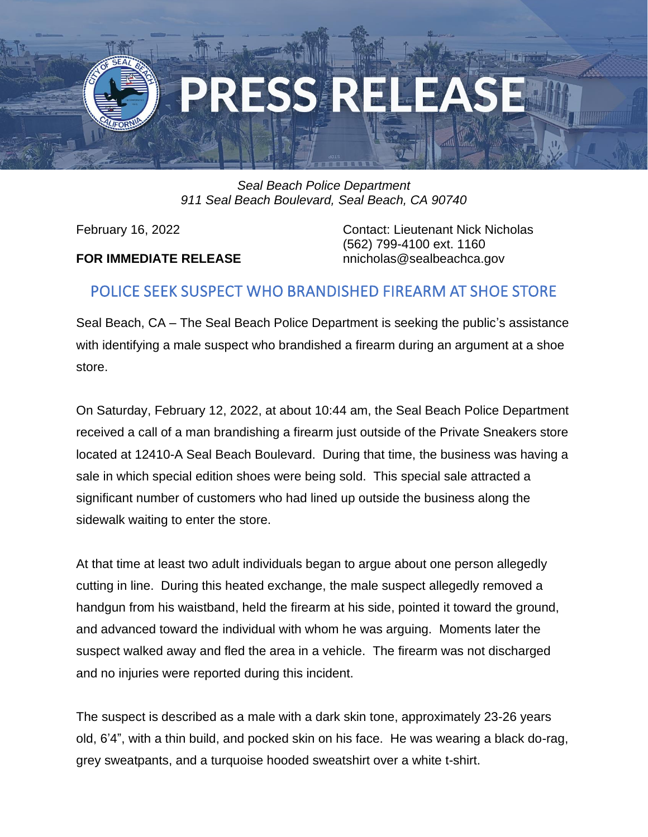

## *Seal Beach Police Department 911 Seal Beach Boulevard, Seal Beach, CA 90740*

## **FOR IMMEDIATE RELEASE** nnicholas@sealbeachca.gov

February 16, 2022 **Contact: Lieutenant Nick Nicholas** (562) 799-4100 ext. 1160

## POLICE SEEK SUSPECT WHO BRANDISHED FIREARM AT SHOE STORE

Seal Beach, CA – The Seal Beach Police Department is seeking the public's assistance with identifying a male suspect who brandished a firearm during an argument at a shoe store.

On Saturday, February 12, 2022, at about 10:44 am, the Seal Beach Police Department received a call of a man brandishing a firearm just outside of the Private Sneakers store located at 12410-A Seal Beach Boulevard. During that time, the business was having a sale in which special edition shoes were being sold. This special sale attracted a significant number of customers who had lined up outside the business along the sidewalk waiting to enter the store.

At that time at least two adult individuals began to argue about one person allegedly cutting in line. During this heated exchange, the male suspect allegedly removed a handgun from his waistband, held the firearm at his side, pointed it toward the ground, and advanced toward the individual with whom he was arguing. Moments later the suspect walked away and fled the area in a vehicle. The firearm was not discharged and no injuries were reported during this incident.

The suspect is described as a male with a dark skin tone, approximately 23-26 years old, 6'4", with a thin build, and pocked skin on his face. He was wearing a black do-rag, grey sweatpants, and a turquoise hooded sweatshirt over a white t-shirt.